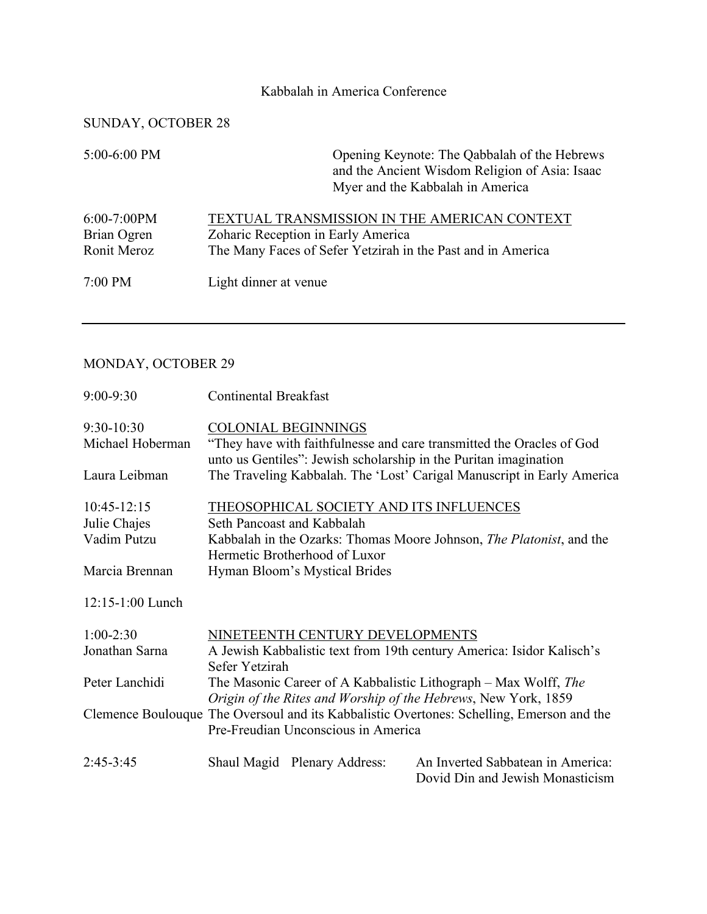## Kabbalah in America Conference

## SUNDAY, OCTOBER 28

| 5:00-6:00 PM                                | Opening Keynote: The Qabbalah of the Hebrews<br>and the Ancient Wisdom Religion of Asia: Isaac<br>Myer and the Kabbalah in America                |
|---------------------------------------------|---------------------------------------------------------------------------------------------------------------------------------------------------|
| $6:00-7:00PM$<br>Brian Ogren<br>Ronit Meroz | TEXTUAL TRANSMISSION IN THE AMERICAN CONTEXT<br>Zoharic Reception in Early America<br>The Many Faces of Sefer Yetzirah in the Past and in America |
| $7:00$ PM                                   | Light dinner at venue                                                                                                                             |

## MONDAY, OCTOBER 29

| $9:00 - 9:30$      | <b>Continental Breakfast</b>                                                                                                      |                                                                                                                                           |  |
|--------------------|-----------------------------------------------------------------------------------------------------------------------------------|-------------------------------------------------------------------------------------------------------------------------------------------|--|
| $9:30-10:30$       | <b>COLONIAL BEGINNINGS</b>                                                                                                        |                                                                                                                                           |  |
| Michael Hoberman   |                                                                                                                                   | "They have with faithfulnesse and care transmitted the Oracles of God<br>unto us Gentiles": Jewish scholarship in the Puritan imagination |  |
| Laura Leibman      |                                                                                                                                   | The Traveling Kabbalah. The 'Lost' Carigal Manuscript in Early America                                                                    |  |
| $10:45-12:15$      | THEOSOPHICAL SOCIETY AND ITS INFLUENCES                                                                                           |                                                                                                                                           |  |
| Julie Chajes       | Seth Pancoast and Kabbalah                                                                                                        |                                                                                                                                           |  |
| Vadim Putzu        | Hermetic Brotherhood of Luxor                                                                                                     | Kabbalah in the Ozarks: Thomas Moore Johnson, The Platonist, and the                                                                      |  |
| Marcia Brennan     | Hyman Bloom's Mystical Brides                                                                                                     |                                                                                                                                           |  |
| $12:15-1:00$ Lunch |                                                                                                                                   |                                                                                                                                           |  |
| $1:00-2:30$        | NINETEENTH CENTURY DEVELOPMENTS                                                                                                   |                                                                                                                                           |  |
| Jonathan Sarna     | A Jewish Kabbalistic text from 19th century America: Isidor Kalisch's<br>Sefer Yetzirah                                           |                                                                                                                                           |  |
| Peter Lanchidi     | The Masonic Career of A Kabbalistic Lithograph – Max Wolff, The<br>Origin of the Rites and Worship of the Hebrews, New York, 1859 |                                                                                                                                           |  |
|                    | Clemence Boulouque The Oversoul and its Kabbalistic Overtones: Schelling, Emerson and the<br>Pre-Freudian Unconscious in America  |                                                                                                                                           |  |
| $2:45-3:45$        | Shaul Magid Plenary Address:                                                                                                      | An Inverted Sabbatean in America:<br>Dovid Din and Jewish Monasticism                                                                     |  |